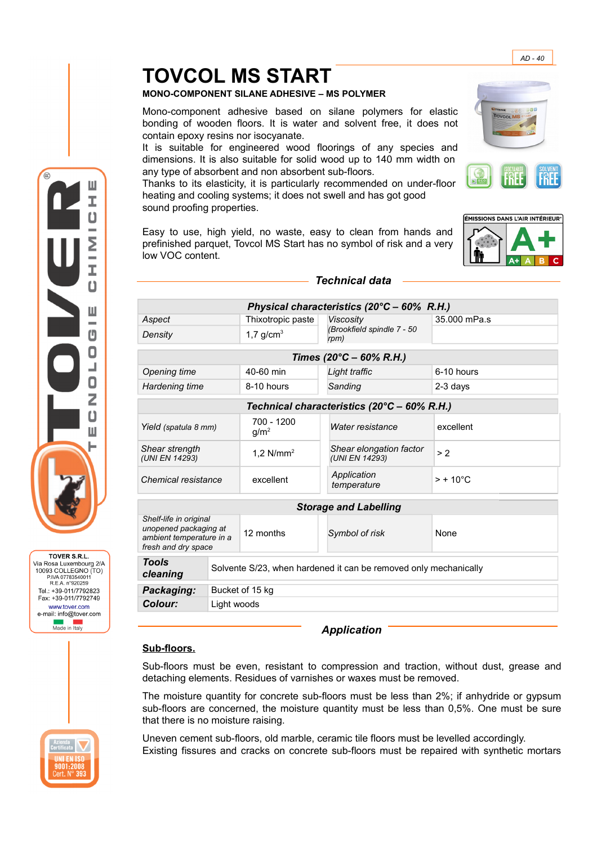# **TOVCOL MS START**

## **MONO-COMPONENT SILANE ADHESIVE – MS POLYMER**

Mono-component adhesive based on silane polymers for elastic bonding of wooden floors. It is water and solvent free, it does not contain epoxy resins nor isocyanate.

It is suitable for engineered wood floorings of any species and dimensions. It is also suitable for solid wood up to 140 mm width on any type of absorbent and non absorbent sub-floors.

Thanks to its elasticity, it is particularly recommended on under-floor heating and cooling systems; it does not swell and has got good sound proofing properties.

Easy to use, high yield, no waste, easy to clean from hands and prefinished parquet, Tovcol MS Start has no symbol of risk and a very low VOC content.



## *Technical data*

| Physical characteristics (20°C - 60% R.H.)                                                         |                                                                  |                                |                                                        |                    |
|----------------------------------------------------------------------------------------------------|------------------------------------------------------------------|--------------------------------|--------------------------------------------------------|--------------------|
| Aspect                                                                                             | Thixotropic paste                                                |                                | <b>Viscosity</b><br>(Brookfield spindle 7 - 50<br>rpm) | 35.000 mPa.s       |
| Density                                                                                            |                                                                  | 1,7 $g/cm3$                    |                                                        |                    |
| Times (20°C – 60% R.H.)                                                                            |                                                                  |                                |                                                        |                    |
| Opening time                                                                                       |                                                                  | 40-60 min                      | Light traffic                                          | $6-10$ hours       |
| Hardening time                                                                                     |                                                                  | 8-10 hours                     | Sanding                                                | $2-3$ days         |
| Technical characteristics (20°C - 60% R.H.)                                                        |                                                                  |                                |                                                        |                    |
| Yield (spatula 8 mm)                                                                               |                                                                  | 700 - 1200<br>g/m <sup>2</sup> | Water resistance                                       | excellent          |
| Shear strength<br>(UNI EN 14293)                                                                   |                                                                  | 1.2 $N/mm^2$                   | Shear elongation factor<br>(UNI EN 14293)              | > 2                |
| Chemical resistance                                                                                |                                                                  | excellent                      | Application<br>temperature                             | $> + 10^{\circ}$ C |
| <b>Storage and Labelling</b>                                                                       |                                                                  |                                |                                                        |                    |
| Shelf-life in original<br>unopened packaging at<br>ambient temperature in a<br>fresh and dry space |                                                                  | 12 months                      | Symbol of risk                                         | <b>None</b>        |
| <b>Tools</b><br>cleaning                                                                           | Solvente S/23, when hardened it can be removed only mechanically |                                |                                                        |                    |
| Packaging:                                                                                         | Bucket of 15 kg                                                  |                                |                                                        |                    |
| Colour:                                                                                            | Light woods                                                      |                                |                                                        |                    |

## *Application*

#### **Sub-floors.**

Sub-floors must be even, resistant to compression and traction, without dust, grease and detaching elements. Residues of varnishes or waxes must be removed.

The moisture quantity for concrete sub-floors must be less than 2%; if anhydride or gypsum sub-floors are concerned, the moisture quantity must be less than 0,5%. One must be sure that there is no moisture raising.

Uneven cement sub-floors, old marble, ceramic tile floors must be levelled accordingly. Existing fissures and cracks on concrete sub-floors must be repaired with synthetic mortars







*AD - 40*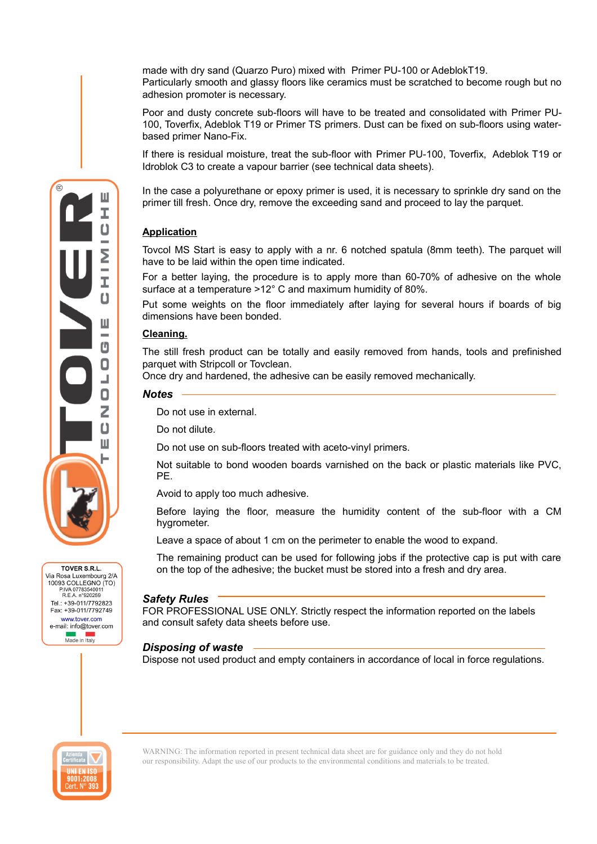made with dry sand (Quarzo Puro) mixed with Primer PU-100 or AdeblokT19. Particularly smooth and glassy floors like ceramics must be scratched to become rough but no adhesion promoter is necessary.

Poor and dusty concrete sub-floors will have to be treated and consolidated with Primer PU-100, Toverfix, Adeblok T19 or Primer TS primers. Dust can be fixed on sub-floors using waterbased primer Nano-Fix.

If there is residual moisture, treat the sub-floor with Primer PU-100, Toverfix, Adeblok T19 or Idroblok C3 to create a vapour barrier (see technical data sheets).

In the case a polyurethane or epoxy primer is used, it is necessary to sprinkle dry sand on the primer till fresh. Once dry, remove the exceeding sand and proceed to lay the parquet.

## **Application**

Tovcol MS Start is easy to apply with a nr. 6 notched spatula (8mm teeth). The parquet will have to be laid within the open time indicated.

For a better laying, the procedure is to apply more than 60-70% of adhesive on the whole surface at a temperature >12° C and maximum humidity of 80%.

Put some weights on the floor immediately after laying for several hours if boards of big dimensions have been bonded.

#### **Cleaning.**

The still fresh product can be totally and easily removed from hands, tools and prefinished parquet with Stripcoll or Tovclean.

Once dry and hardened, the adhesive can be easily removed mechanically.

#### *Notes*

Do not use in external.

Do not dilute.

Do not use on sub-floors treated with aceto-vinyl primers.

Not suitable to bond wooden boards varnished on the back or plastic materials like PVC, PE.

Avoid to apply too much adhesive.

Before laying the floor, measure the humidity content of the sub-floor with a CM hygrometer.

Leave a space of about 1 cm on the perimeter to enable the wood to expand.

The remaining product can be used for following jobs if the protective cap is put with care on the top of the adhesive; the bucket must be stored into a fresh and dry area.

#### *Safety Rules*

FOR PROFESSIONAL USE ONLY. Strictly respect the information reported on the labels and consult safety data sheets before use.

#### *Disposing of waste*

Dispose not used product and empty containers in accordance of local in force regulations.



TOVER S.R.L. Via Rosa Luxembourg 2/A<br>10093 COLLEGNO (TO) P.IVA 07783540011 R.E.A. n°920259 Tel.: +39-011/7792823 Fax: +39-011/7792749 www.tover.com e-mail: info@tover.com **New York**<br>Made in Italy

> WARNING: The information reported in present technical data sheet are for guidance only and they do not hold our responsibility. Adapt the use of our products to the environmental conditions and materials to be treated.